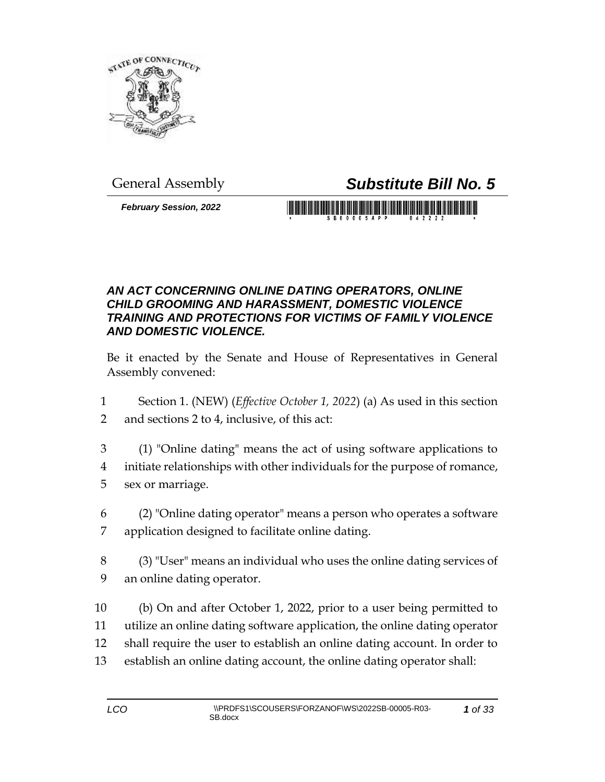

*February Session, 2022*

## General Assembly *Substitute Bill No. 5*

S B 0 0 0 0 5 A P P

## *AN ACT CONCERNING ONLINE DATING OPERATORS, ONLINE CHILD GROOMING AND HARASSMENT, DOMESTIC VIOLENCE TRAINING AND PROTECTIONS FOR VICTIMS OF FAMILY VIOLENCE AND DOMESTIC VIOLENCE.*

Be it enacted by the Senate and House of Representatives in General Assembly convened:

- 1 Section 1. (NEW) (*Effective October 1, 2022*) (a) As used in this section 2 and sections 2 to 4, inclusive, of this act:
- 3 (1) "Online dating" means the act of using software applications to 4 initiate relationships with other individuals for the purpose of romance, 5 sex or marriage.
- 6 (2) "Online dating operator" means a person who operates a software 7 application designed to facilitate online dating.
- 8 (3) "User" means an individual who uses the online dating services of 9 an online dating operator.
- 10 (b) On and after October 1, 2022, prior to a user being permitted to 11 utilize an online dating software application, the online dating operator 12 shall require the user to establish an online dating account. In order to 13 establish an online dating account, the online dating operator shall: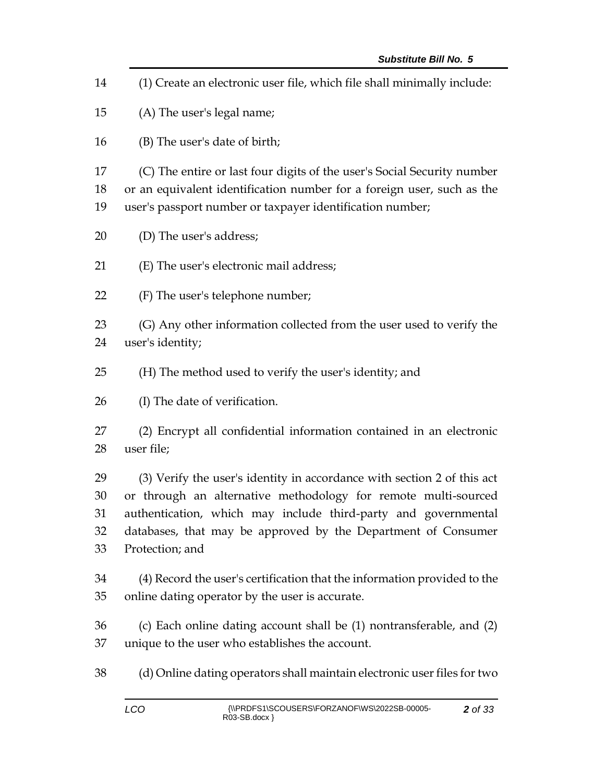(1) Create an electronic user file, which file shall minimally include: (A) The user's legal name; (B) The user's date of birth; (C) The entire or last four digits of the user's Social Security number or an equivalent identification number for a foreign user, such as the user's passport number or taxpayer identification number; (D) The user's address; (E) The user's electronic mail address; (F) The user's telephone number; (G) Any other information collected from the user used to verify the user's identity; (H) The method used to verify the user's identity; and (I) The date of verification. (2) Encrypt all confidential information contained in an electronic user file; (3) Verify the user's identity in accordance with section 2 of this act or through an alternative methodology for remote multi-sourced authentication, which may include third-party and governmental databases, that may be approved by the Department of Consumer Protection; and (4) Record the user's certification that the information provided to the online dating operator by the user is accurate. (c) Each online dating account shall be (1) nontransferable, and (2) unique to the user who establishes the account. (d) Online dating operators shall maintain electronic user files for two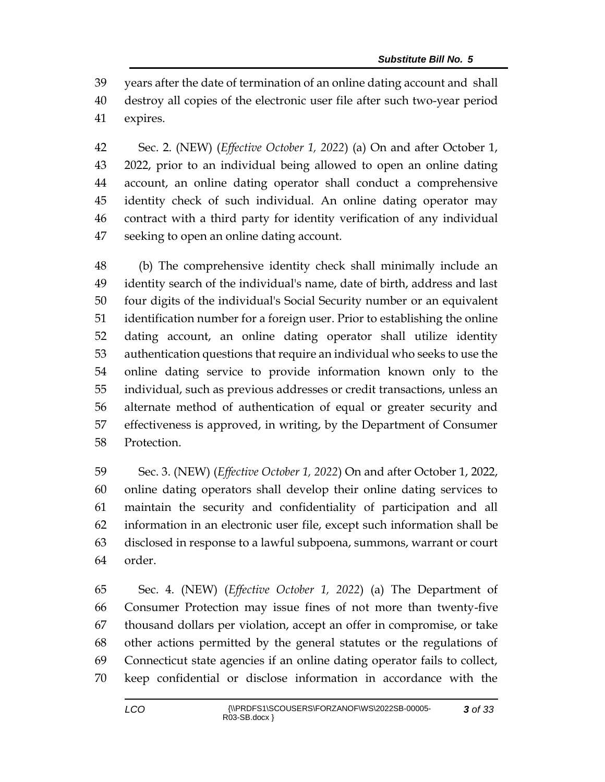years after the date of termination of an online dating account and shall destroy all copies of the electronic user file after such two-year period expires.

 Sec. 2. (NEW) (*Effective October 1, 2022*) (a) On and after October 1, 2022, prior to an individual being allowed to open an online dating account, an online dating operator shall conduct a comprehensive identity check of such individual. An online dating operator may contract with a third party for identity verification of any individual seeking to open an online dating account.

 (b) The comprehensive identity check shall minimally include an identity search of the individual's name, date of birth, address and last four digits of the individual's Social Security number or an equivalent identification number for a foreign user. Prior to establishing the online dating account, an online dating operator shall utilize identity authentication questions that require an individual who seeks to use the online dating service to provide information known only to the individual, such as previous addresses or credit transactions, unless an alternate method of authentication of equal or greater security and effectiveness is approved, in writing, by the Department of Consumer Protection.

 Sec. 3. (NEW) (*Effective October 1, 2022*) On and after October 1, 2022, online dating operators shall develop their online dating services to maintain the security and confidentiality of participation and all information in an electronic user file, except such information shall be disclosed in response to a lawful subpoena, summons, warrant or court order.

 Sec. 4. (NEW) (*Effective October 1, 2022*) (a) The Department of Consumer Protection may issue fines of not more than twenty-five thousand dollars per violation, accept an offer in compromise, or take other actions permitted by the general statutes or the regulations of Connecticut state agencies if an online dating operator fails to collect, keep confidential or disclose information in accordance with the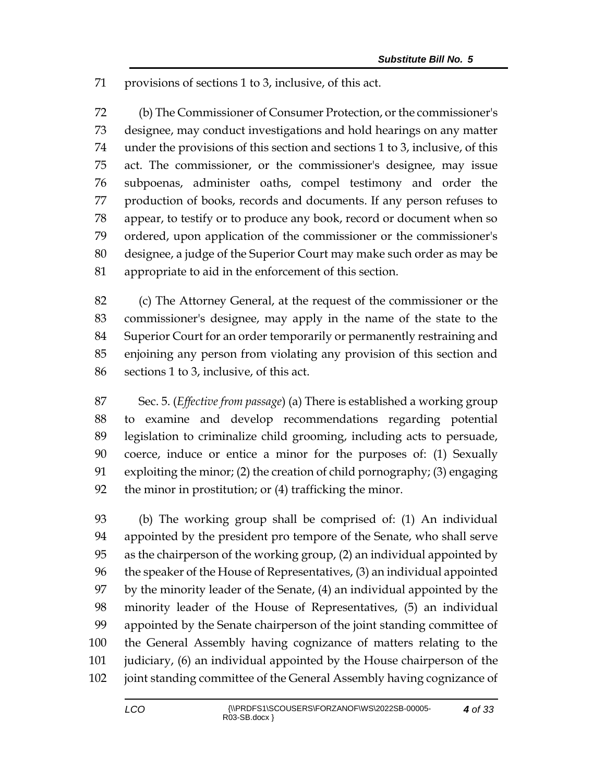provisions of sections 1 to 3, inclusive, of this act.

 (b) The Commissioner of Consumer Protection, or the commissioner's designee, may conduct investigations and hold hearings on any matter under the provisions of this section and sections 1 to 3, inclusive, of this act. The commissioner, or the commissioner's designee, may issue subpoenas, administer oaths, compel testimony and order the production of books, records and documents. If any person refuses to appear, to testify or to produce any book, record or document when so ordered, upon application of the commissioner or the commissioner's designee, a judge of the Superior Court may make such order as may be appropriate to aid in the enforcement of this section.

 (c) The Attorney General, at the request of the commissioner or the commissioner's designee, may apply in the name of the state to the Superior Court for an order temporarily or permanently restraining and enjoining any person from violating any provision of this section and sections 1 to 3, inclusive, of this act.

 Sec. 5. (*Effective from passage*) (a) There is established a working group to examine and develop recommendations regarding potential legislation to criminalize child grooming, including acts to persuade, coerce, induce or entice a minor for the purposes of: (1) Sexually exploiting the minor; (2) the creation of child pornography; (3) engaging the minor in prostitution; or (4) trafficking the minor.

 (b) The working group shall be comprised of: (1) An individual appointed by the president pro tempore of the Senate, who shall serve as the chairperson of the working group, (2) an individual appointed by the speaker of the House of Representatives, (3) an individual appointed by the minority leader of the Senate, (4) an individual appointed by the minority leader of the House of Representatives, (5) an individual appointed by the Senate chairperson of the joint standing committee of the General Assembly having cognizance of matters relating to the judiciary, (6) an individual appointed by the House chairperson of the joint standing committee of the General Assembly having cognizance of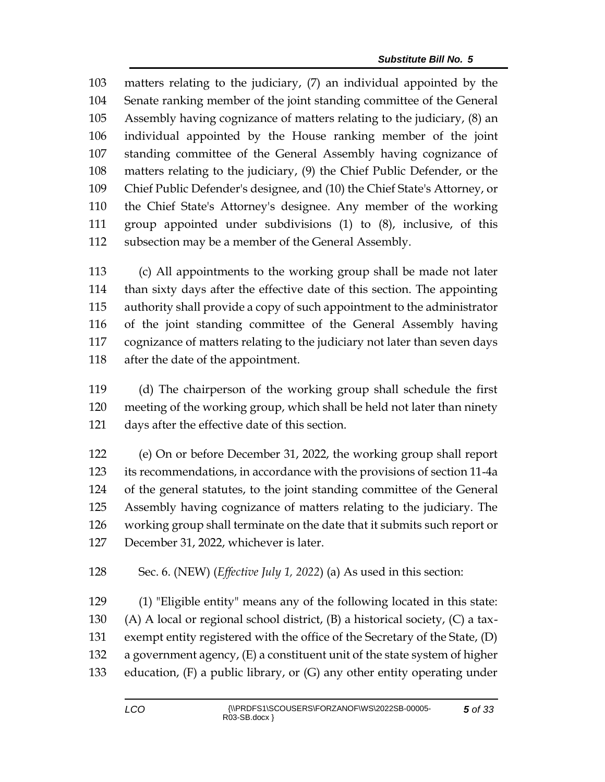matters relating to the judiciary, (7) an individual appointed by the Senate ranking member of the joint standing committee of the General Assembly having cognizance of matters relating to the judiciary, (8) an individual appointed by the House ranking member of the joint standing committee of the General Assembly having cognizance of matters relating to the judiciary, (9) the Chief Public Defender, or the Chief Public Defender's designee, and (10) the Chief State's Attorney, or the Chief State's Attorney's designee. Any member of the working group appointed under subdivisions (1) to (8), inclusive, of this subsection may be a member of the General Assembly.

 (c) All appointments to the working group shall be made not later than sixty days after the effective date of this section. The appointing authority shall provide a copy of such appointment to the administrator of the joint standing committee of the General Assembly having cognizance of matters relating to the judiciary not later than seven days after the date of the appointment.

 (d) The chairperson of the working group shall schedule the first meeting of the working group, which shall be held not later than ninety days after the effective date of this section.

 (e) On or before December 31, 2022, the working group shall report its recommendations, in accordance with the provisions of section 11-4a of the general statutes, to the joint standing committee of the General Assembly having cognizance of matters relating to the judiciary. The working group shall terminate on the date that it submits such report or December 31, 2022, whichever is later.

Sec. 6. (NEW) (*Effective July 1, 2022*) (a) As used in this section:

 (1) "Eligible entity" means any of the following located in this state: 130 (A) A local or regional school district,  $(B)$  a historical society,  $(C)$  a tax- exempt entity registered with the office of the Secretary of the State, (D) a government agency, (E) a constituent unit of the state system of higher education, (F) a public library, or (G) any other entity operating under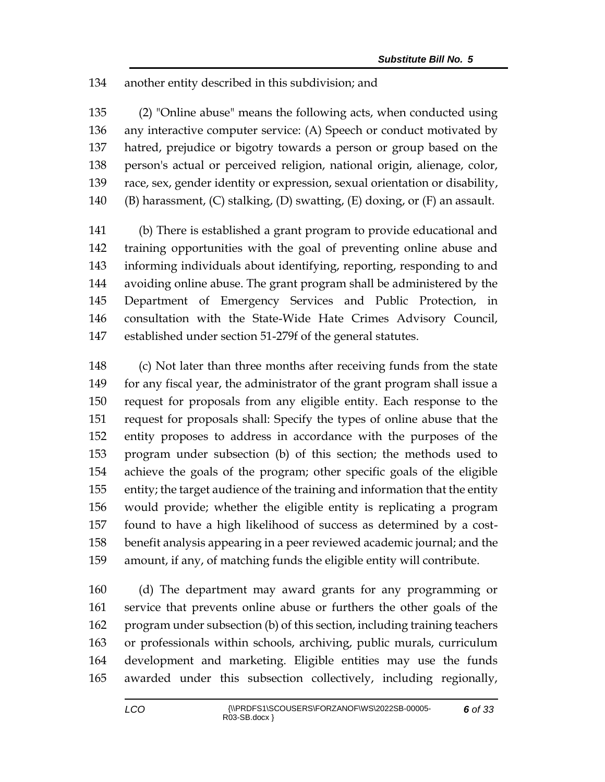## another entity described in this subdivision; and

 (2) "Online abuse" means the following acts, when conducted using any interactive computer service: (A) Speech or conduct motivated by hatred, prejudice or bigotry towards a person or group based on the person's actual or perceived religion, national origin, alienage, color, race, sex, gender identity or expression, sexual orientation or disability, 140 (B) harassment,  $(C)$  stalking,  $(D)$  swatting,  $(E)$  doxing, or  $(F)$  an assault.

 (b) There is established a grant program to provide educational and training opportunities with the goal of preventing online abuse and informing individuals about identifying, reporting, responding to and avoiding online abuse. The grant program shall be administered by the Department of Emergency Services and Public Protection, in consultation with the State-Wide Hate Crimes Advisory Council, established under section 51-279f of the general statutes.

 (c) Not later than three months after receiving funds from the state for any fiscal year, the administrator of the grant program shall issue a request for proposals from any eligible entity. Each response to the request for proposals shall: Specify the types of online abuse that the entity proposes to address in accordance with the purposes of the program under subsection (b) of this section; the methods used to achieve the goals of the program; other specific goals of the eligible entity; the target audience of the training and information that the entity would provide; whether the eligible entity is replicating a program found to have a high likelihood of success as determined by a cost- benefit analysis appearing in a peer reviewed academic journal; and the amount, if any, of matching funds the eligible entity will contribute.

 (d) The department may award grants for any programming or service that prevents online abuse or furthers the other goals of the program under subsection (b) of this section, including training teachers or professionals within schools, archiving, public murals, curriculum development and marketing. Eligible entities may use the funds awarded under this subsection collectively, including regionally,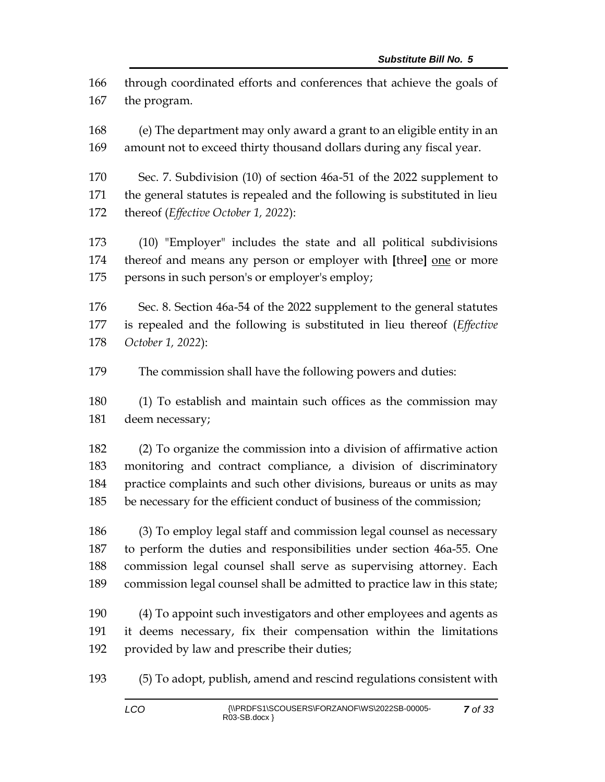through coordinated efforts and conferences that achieve the goals of the program.

 (e) The department may only award a grant to an eligible entity in an amount not to exceed thirty thousand dollars during any fiscal year.

 Sec. 7. Subdivision (10) of section 46a-51 of the 2022 supplement to the general statutes is repealed and the following is substituted in lieu thereof (*Effective October 1, 2022*):

 (10) "Employer" includes the state and all political subdivisions thereof and means any person or employer with **[**three**]** one or more 175 persons in such person's or employer's employ;

 Sec. 8. Section 46a-54 of the 2022 supplement to the general statutes is repealed and the following is substituted in lieu thereof (*Effective October 1, 2022*):

The commission shall have the following powers and duties:

 (1) To establish and maintain such offices as the commission may deem necessary;

 (2) To organize the commission into a division of affirmative action monitoring and contract compliance, a division of discriminatory practice complaints and such other divisions, bureaus or units as may be necessary for the efficient conduct of business of the commission;

 (3) To employ legal staff and commission legal counsel as necessary to perform the duties and responsibilities under section 46a-55. One commission legal counsel shall serve as supervising attorney. Each commission legal counsel shall be admitted to practice law in this state;

 (4) To appoint such investigators and other employees and agents as it deems necessary, fix their compensation within the limitations provided by law and prescribe their duties;

(5) To adopt, publish, amend and rescind regulations consistent with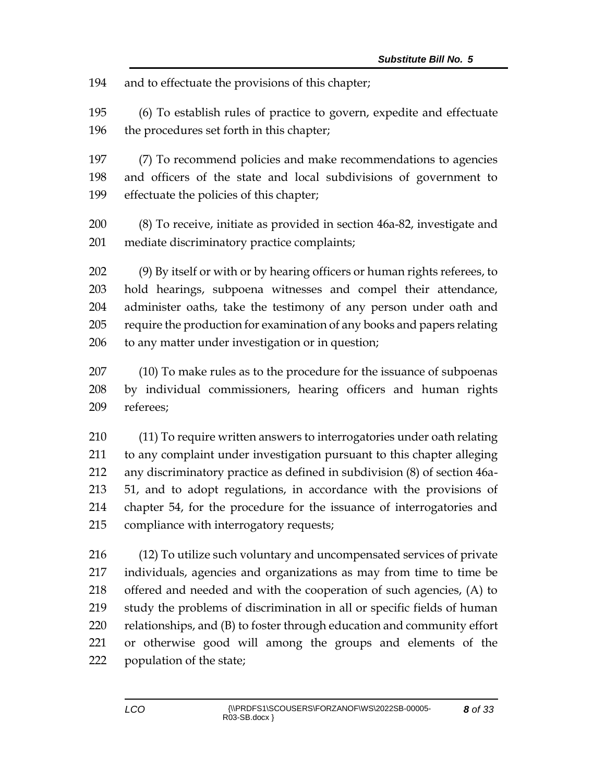and to effectuate the provisions of this chapter;

 (6) To establish rules of practice to govern, expedite and effectuate the procedures set forth in this chapter;

 (7) To recommend policies and make recommendations to agencies and officers of the state and local subdivisions of government to effectuate the policies of this chapter;

 (8) To receive, initiate as provided in section 46a-82, investigate and mediate discriminatory practice complaints;

 (9) By itself or with or by hearing officers or human rights referees, to hold hearings, subpoena witnesses and compel their attendance, administer oaths, take the testimony of any person under oath and require the production for examination of any books and papers relating to any matter under investigation or in question;

 (10) To make rules as to the procedure for the issuance of subpoenas by individual commissioners, hearing officers and human rights referees;

 (11) To require written answers to interrogatories under oath relating to any complaint under investigation pursuant to this chapter alleging any discriminatory practice as defined in subdivision (8) of section 46a- 51, and to adopt regulations, in accordance with the provisions of chapter 54, for the procedure for the issuance of interrogatories and compliance with interrogatory requests;

 (12) To utilize such voluntary and uncompensated services of private individuals, agencies and organizations as may from time to time be offered and needed and with the cooperation of such agencies, (A) to study the problems of discrimination in all or specific fields of human relationships, and (B) to foster through education and community effort or otherwise good will among the groups and elements of the population of the state;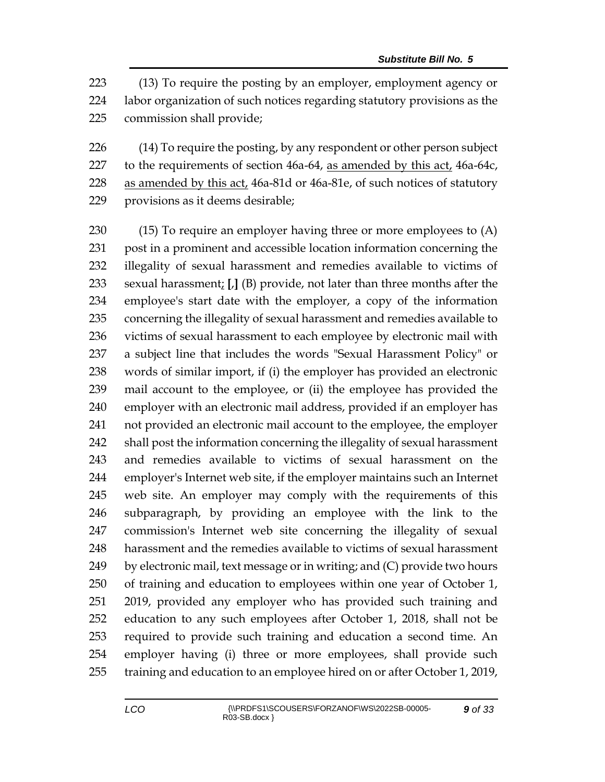(13) To require the posting by an employer, employment agency or labor organization of such notices regarding statutory provisions as the commission shall provide;

226 (14) To require the posting, by any respondent or other person subject 227 to the requirements of section 46a-64, as amended by this act, 46a-64c, 228 as amended by this act, 46a-81d or 46a-81e, of such notices of statutory provisions as it deems desirable;

 (15) To require an employer having three or more employees to (A) post in a prominent and accessible location information concerning the illegality of sexual harassment and remedies available to victims of sexual harassment; **[**,**]** (B) provide, not later than three months after the employee's start date with the employer, a copy of the information concerning the illegality of sexual harassment and remedies available to victims of sexual harassment to each employee by electronic mail with a subject line that includes the words "Sexual Harassment Policy" or words of similar import, if (i) the employer has provided an electronic mail account to the employee, or (ii) the employee has provided the employer with an electronic mail address, provided if an employer has not provided an electronic mail account to the employee, the employer shall post the information concerning the illegality of sexual harassment and remedies available to victims of sexual harassment on the employer's Internet web site, if the employer maintains such an Internet web site. An employer may comply with the requirements of this subparagraph, by providing an employee with the link to the commission's Internet web site concerning the illegality of sexual harassment and the remedies available to victims of sexual harassment by electronic mail, text message or in writing; and (C) provide two hours of training and education to employees within one year of October 1, 2019, provided any employer who has provided such training and education to any such employees after October 1, 2018, shall not be required to provide such training and education a second time. An employer having (i) three or more employees, shall provide such training and education to an employee hired on or after October 1, 2019,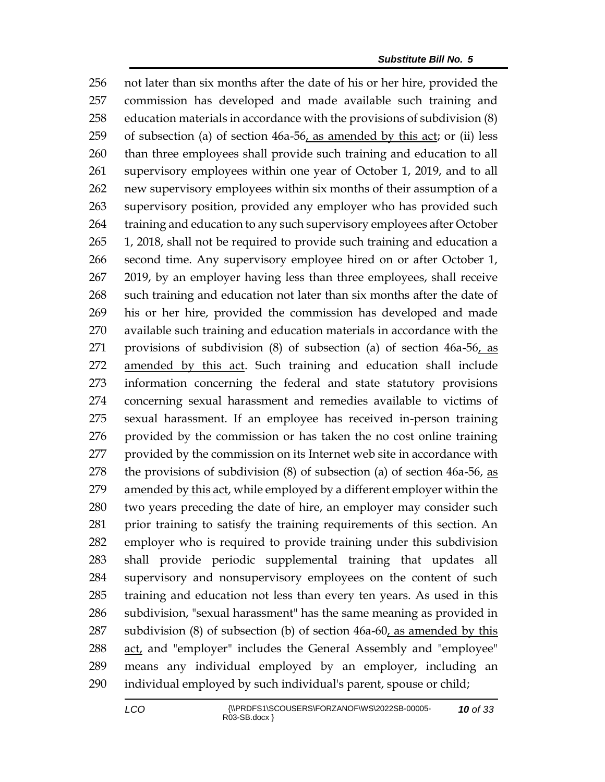not later than six months after the date of his or her hire, provided the commission has developed and made available such training and education materials in accordance with the provisions of subdivision (8) of subsection (a) of section 46a-56, as amended by this act; or (ii) less than three employees shall provide such training and education to all supervisory employees within one year of October 1, 2019, and to all new supervisory employees within six months of their assumption of a supervisory position, provided any employer who has provided such 264 training and education to any such supervisory employees after October 1, 2018, shall not be required to provide such training and education a second time. Any supervisory employee hired on or after October 1, 2019, by an employer having less than three employees, shall receive such training and education not later than six months after the date of his or her hire, provided the commission has developed and made available such training and education materials in accordance with the provisions of subdivision (8) of subsection (a) of section 46a-56, as amended by this act. Such training and education shall include information concerning the federal and state statutory provisions concerning sexual harassment and remedies available to victims of sexual harassment. If an employee has received in-person training provided by the commission or has taken the no cost online training provided by the commission on its Internet web site in accordance with 278 the provisions of subdivision  $(8)$  of subsection  $(a)$  of section 46a-56, as amended by this act, while employed by a different employer within the two years preceding the date of hire, an employer may consider such prior training to satisfy the training requirements of this section. An employer who is required to provide training under this subdivision shall provide periodic supplemental training that updates all supervisory and nonsupervisory employees on the content of such training and education not less than every ten years. As used in this subdivision, "sexual harassment" has the same meaning as provided in subdivision (8) of subsection (b) of section 46a-60, as amended by this act, and "employer" includes the General Assembly and "employee" means any individual employed by an employer, including an individual employed by such individual's parent, spouse or child;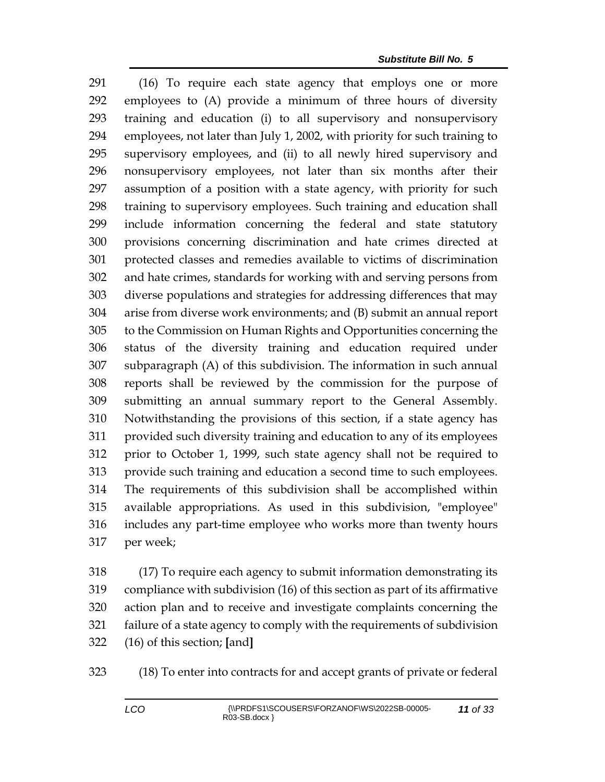(16) To require each state agency that employs one or more employees to (A) provide a minimum of three hours of diversity training and education (i) to all supervisory and nonsupervisory employees, not later than July 1, 2002, with priority for such training to supervisory employees, and (ii) to all newly hired supervisory and nonsupervisory employees, not later than six months after their assumption of a position with a state agency, with priority for such training to supervisory employees. Such training and education shall include information concerning the federal and state statutory provisions concerning discrimination and hate crimes directed at protected classes and remedies available to victims of discrimination and hate crimes, standards for working with and serving persons from diverse populations and strategies for addressing differences that may arise from diverse work environments; and (B) submit an annual report to the Commission on Human Rights and Opportunities concerning the status of the diversity training and education required under subparagraph (A) of this subdivision. The information in such annual reports shall be reviewed by the commission for the purpose of submitting an annual summary report to the General Assembly. Notwithstanding the provisions of this section, if a state agency has provided such diversity training and education to any of its employees prior to October 1, 1999, such state agency shall not be required to provide such training and education a second time to such employees. The requirements of this subdivision shall be accomplished within available appropriations. As used in this subdivision, "employee" includes any part-time employee who works more than twenty hours per week;

 (17) To require each agency to submit information demonstrating its compliance with subdivision (16) of this section as part of its affirmative action plan and to receive and investigate complaints concerning the failure of a state agency to comply with the requirements of subdivision (16) of this section; **[**and**]**

(18) To enter into contracts for and accept grants of private or federal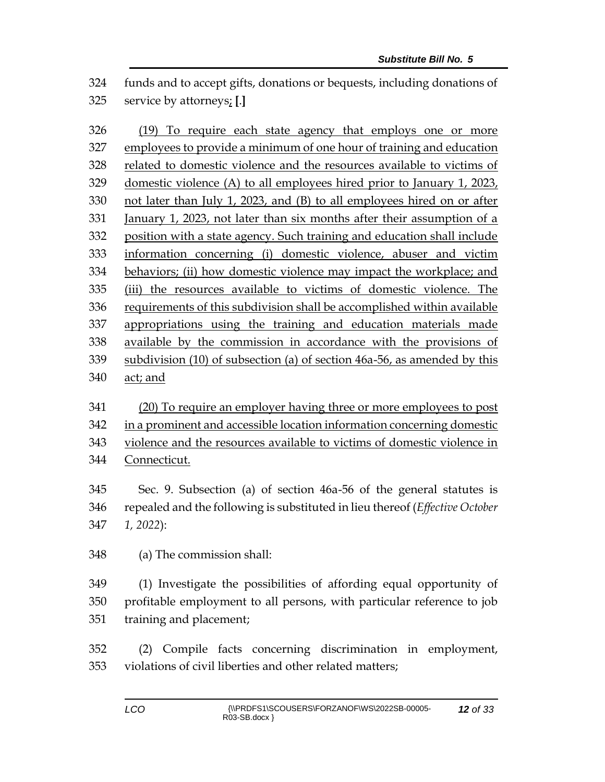funds and to accept gifts, donations or bequests, including donations of service by attorneys; **[**.**]**

 (19) To require each state agency that employs one or more employees to provide a minimum of one hour of training and education related to domestic violence and the resources available to victims of domestic violence (A) to all employees hired prior to January 1, 2023, not later than July 1, 2023, and (B) to all employees hired on or after January 1, 2023, not later than six months after their assumption of a position with a state agency. Such training and education shall include information concerning (i) domestic violence, abuser and victim behaviors; (ii) how domestic violence may impact the workplace; and (iii) the resources available to victims of domestic violence. The requirements of this subdivision shall be accomplished within available appropriations using the training and education materials made available by the commission in accordance with the provisions of subdivision (10) of subsection (a) of section 46a-56, as amended by this act; and

 (20) To require an employer having three or more employees to post in a prominent and accessible location information concerning domestic violence and the resources available to victims of domestic violence in Connecticut.

 Sec. 9. Subsection (a) of section 46a-56 of the general statutes is repealed and the following is substituted in lieu thereof (*Effective October 1, 2022*):

(a) The commission shall:

 (1) Investigate the possibilities of affording equal opportunity of profitable employment to all persons, with particular reference to job training and placement;

 (2) Compile facts concerning discrimination in employment, violations of civil liberties and other related matters;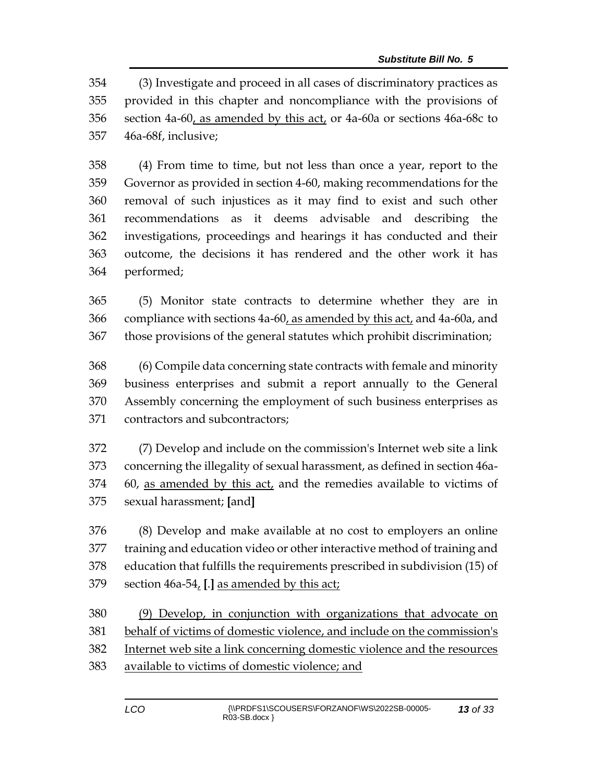(3) Investigate and proceed in all cases of discriminatory practices as provided in this chapter and noncompliance with the provisions of section 4a-60, as amended by this act, or 4a-60a or sections 46a-68c to 46a-68f, inclusive;

 (4) From time to time, but not less than once a year, report to the Governor as provided in section 4-60, making recommendations for the removal of such injustices as it may find to exist and such other recommendations as it deems advisable and describing the investigations, proceedings and hearings it has conducted and their outcome, the decisions it has rendered and the other work it has performed;

 (5) Monitor state contracts to determine whether they are in 366 compliance with sections 4a-60, as amended by this act, and 4a-60a, and those provisions of the general statutes which prohibit discrimination;

 (6) Compile data concerning state contracts with female and minority business enterprises and submit a report annually to the General Assembly concerning the employment of such business enterprises as contractors and subcontractors;

 (7) Develop and include on the commission's Internet web site a link concerning the illegality of sexual harassment, as defined in section 46a- 60, as amended by this act, and the remedies available to victims of sexual harassment; **[**and**]**

 (8) Develop and make available at no cost to employers an online training and education video or other interactive method of training and education that fulfills the requirements prescribed in subdivision (15) of section 46a-54, **[**.**]** as amended by this act;

 (9) Develop, in conjunction with organizations that advocate on behalf of victims of domestic violence, and include on the commission's

- Internet web site a link concerning domestic violence and the resources
- available to victims of domestic violence; and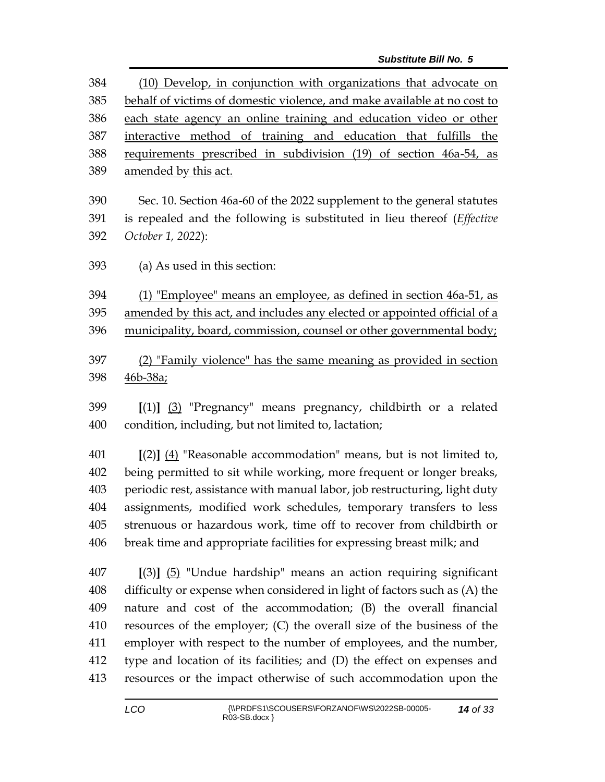| 384        | (10) Develop, in conjunction with organizations that advocate on                                                                                     |  |  |
|------------|------------------------------------------------------------------------------------------------------------------------------------------------------|--|--|
| 385        | behalf of victims of domestic violence, and make available at no cost to                                                                             |  |  |
| 386        | each state agency an online training and education video or other                                                                                    |  |  |
| 387        | interactive method of training and education that fulfills the                                                                                       |  |  |
| 388        | requirements prescribed in subdivision (19) of section 46a-54, as                                                                                    |  |  |
| 389        | amended by this act.                                                                                                                                 |  |  |
| 390        | Sec. 10. Section 46a-60 of the 2022 supplement to the general statutes                                                                               |  |  |
| 391        | is repealed and the following is substituted in lieu thereof ( <i>Effective</i>                                                                      |  |  |
| 392        | October 1, 2022):                                                                                                                                    |  |  |
| 393        | (a) As used in this section:                                                                                                                         |  |  |
|            |                                                                                                                                                      |  |  |
| 394        | (1) "Employee" means an employee, as defined in section 46a-51, as                                                                                   |  |  |
| 395        | amended by this act, and includes any elected or appointed official of a                                                                             |  |  |
| 396        | municipality, board, commission, counsel or other governmental body;                                                                                 |  |  |
| 397        | (2) "Family violence" has the same meaning as provided in section                                                                                    |  |  |
| 398        | 46b-38a;                                                                                                                                             |  |  |
|            |                                                                                                                                                      |  |  |
| 399        | $[(1)]$ $(3)$ "Pregnancy" means pregnancy, childbirth or a related                                                                                   |  |  |
| 400        | condition, including, but not limited to, lactation;                                                                                                 |  |  |
| $\sqrt{4}$ | $\Gamma(\bigcap I \setminus I)$ in $\bigcap$ if $\bigcap$ if $\bigcap$ if $\bigcap$ if $\bigcap$ if $\bigcap$ if $\bigcap$ if $\bigcap$ if $\bigcap$ |  |  |

 **[**(2)**]** (4) "Reasonable accommodation" means, but is not limited to, being permitted to sit while working, more frequent or longer breaks, periodic rest, assistance with manual labor, job restructuring, light duty assignments, modified work schedules, temporary transfers to less strenuous or hazardous work, time off to recover from childbirth or break time and appropriate facilities for expressing breast milk; and

 **[**(3)**]** (5) "Undue hardship" means an action requiring significant difficulty or expense when considered in light of factors such as (A) the nature and cost of the accommodation; (B) the overall financial resources of the employer; (C) the overall size of the business of the employer with respect to the number of employees, and the number, type and location of its facilities; and (D) the effect on expenses and resources or the impact otherwise of such accommodation upon the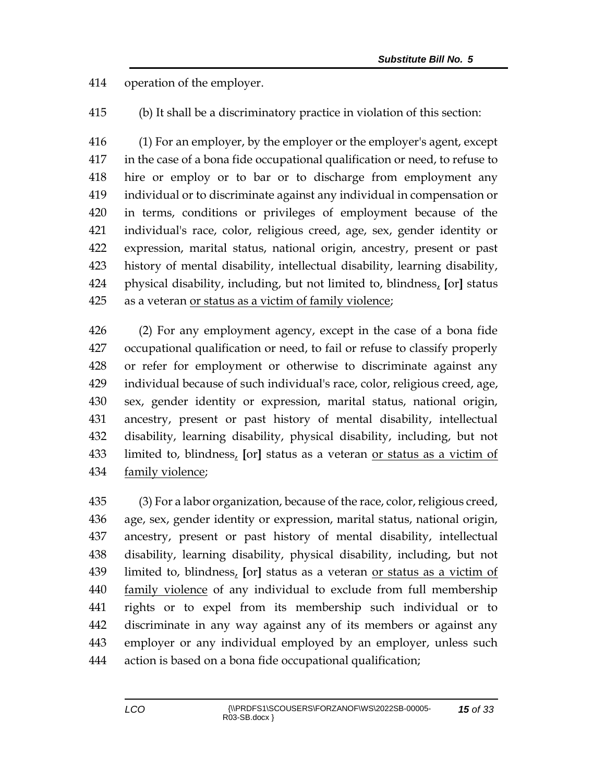operation of the employer.

(b) It shall be a discriminatory practice in violation of this section:

 (1) For an employer, by the employer or the employer's agent, except in the case of a bona fide occupational qualification or need, to refuse to hire or employ or to bar or to discharge from employment any individual or to discriminate against any individual in compensation or in terms, conditions or privileges of employment because of the individual's race, color, religious creed, age, sex, gender identity or expression, marital status, national origin, ancestry, present or past history of mental disability, intellectual disability, learning disability, physical disability, including, but not limited to, blindness, **[**or**]** status as a veteran or status as a victim of family violence;

 (2) For any employment agency, except in the case of a bona fide occupational qualification or need, to fail or refuse to classify properly or refer for employment or otherwise to discriminate against any individual because of such individual's race, color, religious creed, age, sex, gender identity or expression, marital status, national origin, ancestry, present or past history of mental disability, intellectual disability, learning disability, physical disability, including, but not limited to, blindness, **[**or**]** status as a veteran or status as a victim of family violence;

 (3) For a labor organization, because of the race, color, religious creed, age, sex, gender identity or expression, marital status, national origin, ancestry, present or past history of mental disability, intellectual disability, learning disability, physical disability, including, but not limited to, blindness, **[**or**]** status as a veteran or status as a victim of family violence of any individual to exclude from full membership rights or to expel from its membership such individual or to discriminate in any way against any of its members or against any employer or any individual employed by an employer, unless such action is based on a bona fide occupational qualification;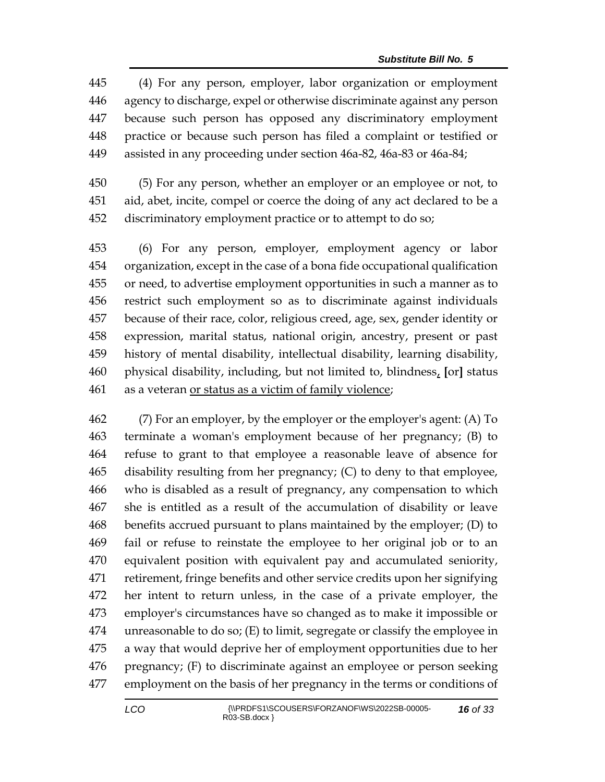(4) For any person, employer, labor organization or employment agency to discharge, expel or otherwise discriminate against any person because such person has opposed any discriminatory employment practice or because such person has filed a complaint or testified or assisted in any proceeding under section 46a-82, 46a-83 or 46a-84;

 (5) For any person, whether an employer or an employee or not, to aid, abet, incite, compel or coerce the doing of any act declared to be a discriminatory employment practice or to attempt to do so;

 (6) For any person, employer, employment agency or labor organization, except in the case of a bona fide occupational qualification or need, to advertise employment opportunities in such a manner as to restrict such employment so as to discriminate against individuals because of their race, color, religious creed, age, sex, gender identity or expression, marital status, national origin, ancestry, present or past history of mental disability, intellectual disability, learning disability, physical disability, including, but not limited to, blindness, **[**or**]** status as a veteran or status as a victim of family violence;

 (7) For an employer, by the employer or the employer's agent: (A) To terminate a woman's employment because of her pregnancy; (B) to refuse to grant to that employee a reasonable leave of absence for disability resulting from her pregnancy; (C) to deny to that employee, who is disabled as a result of pregnancy, any compensation to which she is entitled as a result of the accumulation of disability or leave benefits accrued pursuant to plans maintained by the employer; (D) to fail or refuse to reinstate the employee to her original job or to an equivalent position with equivalent pay and accumulated seniority, retirement, fringe benefits and other service credits upon her signifying her intent to return unless, in the case of a private employer, the employer's circumstances have so changed as to make it impossible or unreasonable to do so; (E) to limit, segregate or classify the employee in a way that would deprive her of employment opportunities due to her pregnancy; (F) to discriminate against an employee or person seeking employment on the basis of her pregnancy in the terms or conditions of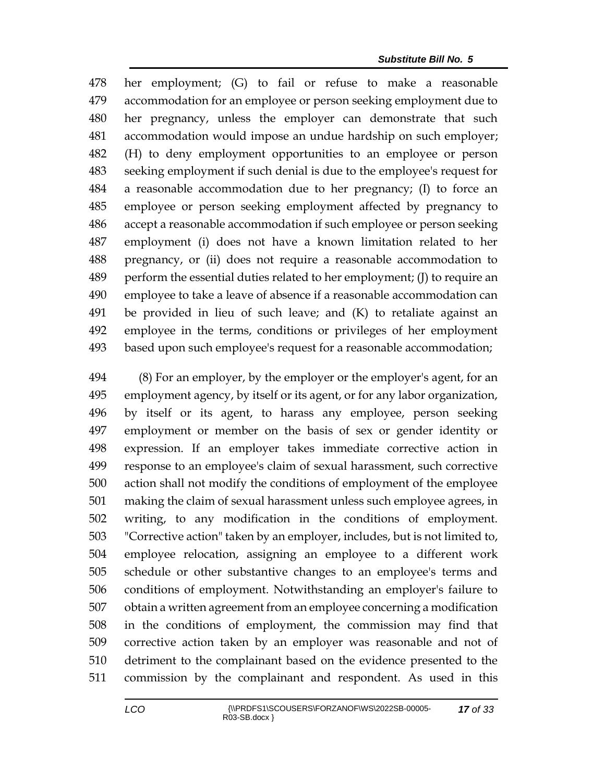her employment; (G) to fail or refuse to make a reasonable accommodation for an employee or person seeking employment due to her pregnancy, unless the employer can demonstrate that such accommodation would impose an undue hardship on such employer; (H) to deny employment opportunities to an employee or person seeking employment if such denial is due to the employee's request for a reasonable accommodation due to her pregnancy; (I) to force an employee or person seeking employment affected by pregnancy to accept a reasonable accommodation if such employee or person seeking employment (i) does not have a known limitation related to her pregnancy, or (ii) does not require a reasonable accommodation to perform the essential duties related to her employment; (J) to require an employee to take a leave of absence if a reasonable accommodation can be provided in lieu of such leave; and (K) to retaliate against an employee in the terms, conditions or privileges of her employment based upon such employee's request for a reasonable accommodation;

 (8) For an employer, by the employer or the employer's agent, for an employment agency, by itself or its agent, or for any labor organization, by itself or its agent, to harass any employee, person seeking employment or member on the basis of sex or gender identity or expression. If an employer takes immediate corrective action in response to an employee's claim of sexual harassment, such corrective action shall not modify the conditions of employment of the employee making the claim of sexual harassment unless such employee agrees, in writing, to any modification in the conditions of employment. "Corrective action" taken by an employer, includes, but is not limited to, employee relocation, assigning an employee to a different work schedule or other substantive changes to an employee's terms and conditions of employment. Notwithstanding an employer's failure to obtain a written agreement from an employee concerning a modification in the conditions of employment, the commission may find that corrective action taken by an employer was reasonable and not of detriment to the complainant based on the evidence presented to the commission by the complainant and respondent. As used in this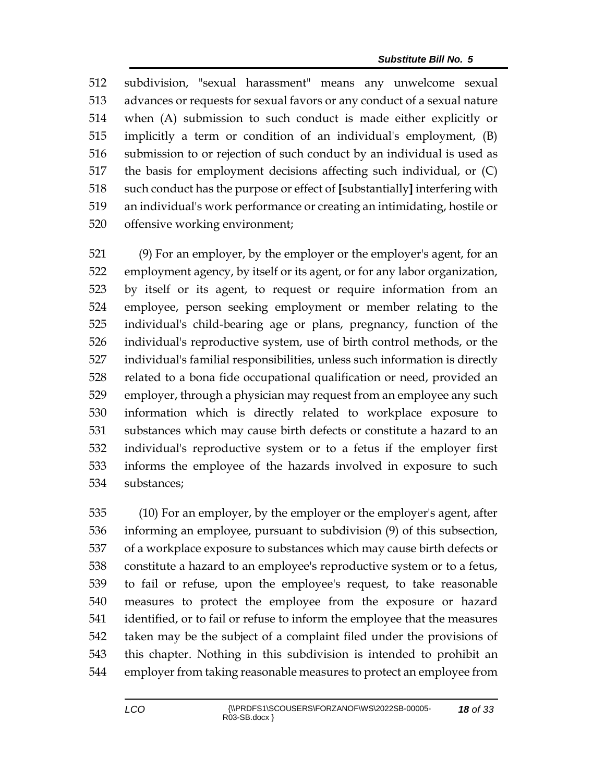subdivision, "sexual harassment" means any unwelcome sexual advances or requests for sexual favors or any conduct of a sexual nature when (A) submission to such conduct is made either explicitly or implicitly a term or condition of an individual's employment, (B) submission to or rejection of such conduct by an individual is used as the basis for employment decisions affecting such individual, or (C) such conduct has the purpose or effect of **[**substantially**]** interfering with an individual's work performance or creating an intimidating, hostile or offensive working environment;

 (9) For an employer, by the employer or the employer's agent, for an employment agency, by itself or its agent, or for any labor organization, by itself or its agent, to request or require information from an employee, person seeking employment or member relating to the individual's child-bearing age or plans, pregnancy, function of the individual's reproductive system, use of birth control methods, or the individual's familial responsibilities, unless such information is directly related to a bona fide occupational qualification or need, provided an employer, through a physician may request from an employee any such information which is directly related to workplace exposure to substances which may cause birth defects or constitute a hazard to an individual's reproductive system or to a fetus if the employer first informs the employee of the hazards involved in exposure to such substances;

 (10) For an employer, by the employer or the employer's agent, after informing an employee, pursuant to subdivision (9) of this subsection, of a workplace exposure to substances which may cause birth defects or constitute a hazard to an employee's reproductive system or to a fetus, to fail or refuse, upon the employee's request, to take reasonable measures to protect the employee from the exposure or hazard identified, or to fail or refuse to inform the employee that the measures taken may be the subject of a complaint filed under the provisions of this chapter. Nothing in this subdivision is intended to prohibit an employer from taking reasonable measures to protect an employee from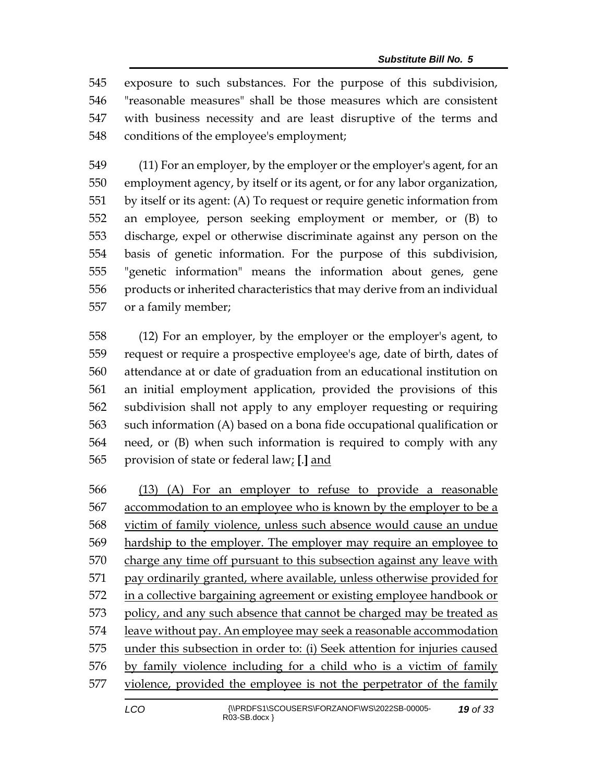exposure to such substances. For the purpose of this subdivision, "reasonable measures" shall be those measures which are consistent with business necessity and are least disruptive of the terms and conditions of the employee's employment;

 (11) For an employer, by the employer or the employer's agent, for an employment agency, by itself or its agent, or for any labor organization, by itself or its agent: (A) To request or require genetic information from an employee, person seeking employment or member, or (B) to discharge, expel or otherwise discriminate against any person on the basis of genetic information. For the purpose of this subdivision, "genetic information" means the information about genes, gene products or inherited characteristics that may derive from an individual or a family member;

 (12) For an employer, by the employer or the employer's agent, to request or require a prospective employee's age, date of birth, dates of attendance at or date of graduation from an educational institution on an initial employment application, provided the provisions of this subdivision shall not apply to any employer requesting or requiring such information (A) based on a bona fide occupational qualification or need, or (B) when such information is required to comply with any provision of state or federal law; **[**.**]** and

 (13) (A) For an employer to refuse to provide a reasonable accommodation to an employee who is known by the employer to be a victim of family violence, unless such absence would cause an undue hardship to the employer. The employer may require an employee to charge any time off pursuant to this subsection against any leave with 571 pay ordinarily granted, where available, unless otherwise provided for in a collective bargaining agreement or existing employee handbook or 573 policy, and any such absence that cannot be charged may be treated as leave without pay. An employee may seek a reasonable accommodation under this subsection in order to: (i) Seek attention for injuries caused by family violence including for a child who is a victim of family violence, provided the employee is not the perpetrator of the family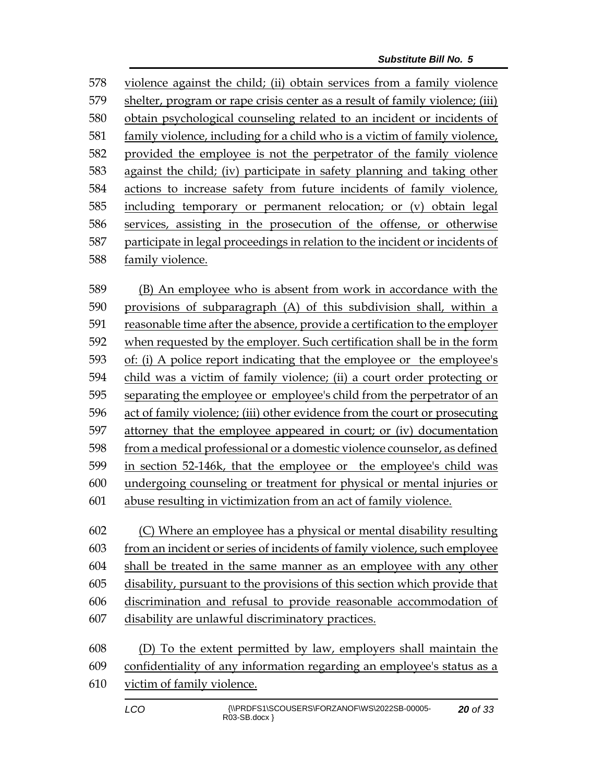violence against the child; (ii) obtain services from a family violence shelter, program or rape crisis center as a result of family violence; (iii) obtain psychological counseling related to an incident or incidents of family violence, including for a child who is a victim of family violence, provided the employee is not the perpetrator of the family violence against the child; (iv) participate in safety planning and taking other actions to increase safety from future incidents of family violence, including temporary or permanent relocation; or (v) obtain legal services, assisting in the prosecution of the offense, or otherwise participate in legal proceedings in relation to the incident or incidents of family violence.

 (B) An employee who is absent from work in accordance with the provisions of subparagraph (A) of this subdivision shall, within a reasonable time after the absence, provide a certification to the employer when requested by the employer. Such certification shall be in the form of: (i) A police report indicating that the employee or the employee's child was a victim of family violence; (ii) a court order protecting or separating the employee or employee's child from the perpetrator of an act of family violence; (iii) other evidence from the court or prosecuting attorney that the employee appeared in court; or (iv) documentation from a medical professional or a domestic violence counselor, as defined in section 52-146k, that the employee or the employee's child was undergoing counseling or treatment for physical or mental injuries or abuse resulting in victimization from an act of family violence.

 (C) Where an employee has a physical or mental disability resulting from an incident or series of incidents of family violence, such employee shall be treated in the same manner as an employee with any other disability, pursuant to the provisions of this section which provide that discrimination and refusal to provide reasonable accommodation of disability are unlawful discriminatory practices.

| 608 | (D) To the extent permitted by law, employers shall maintain the           |
|-----|----------------------------------------------------------------------------|
|     | 609 confidentiality of any information regarding an employee's status as a |
|     | 610 victim of family violence.                                             |
|     |                                                                            |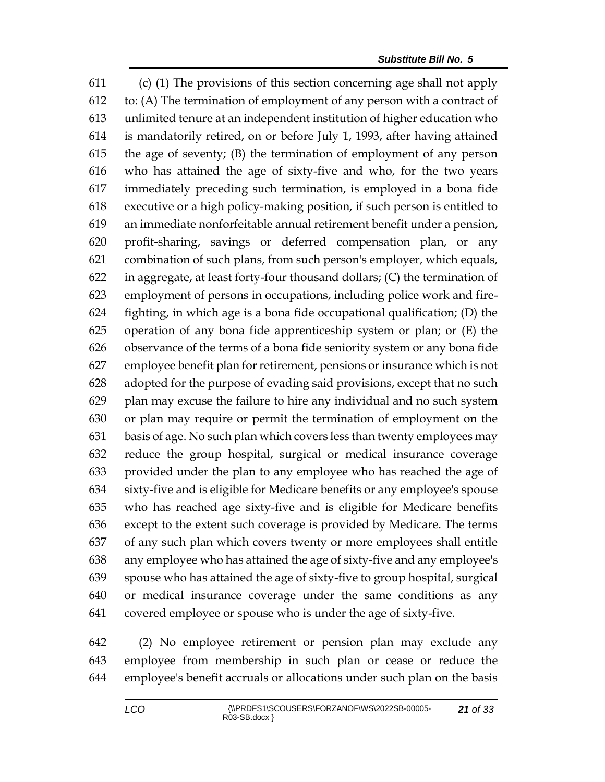(c) (1) The provisions of this section concerning age shall not apply to: (A) The termination of employment of any person with a contract of unlimited tenure at an independent institution of higher education who is mandatorily retired, on or before July 1, 1993, after having attained the age of seventy; (B) the termination of employment of any person who has attained the age of sixty-five and who, for the two years immediately preceding such termination, is employed in a bona fide executive or a high policy-making position, if such person is entitled to an immediate nonforfeitable annual retirement benefit under a pension, profit-sharing, savings or deferred compensation plan, or any combination of such plans, from such person's employer, which equals, in aggregate, at least forty-four thousand dollars; (C) the termination of employment of persons in occupations, including police work and fire- fighting, in which age is a bona fide occupational qualification; (D) the operation of any bona fide apprenticeship system or plan; or (E) the observance of the terms of a bona fide seniority system or any bona fide employee benefit plan for retirement, pensions or insurance which is not adopted for the purpose of evading said provisions, except that no such plan may excuse the failure to hire any individual and no such system or plan may require or permit the termination of employment on the basis of age. No such plan which covers less than twenty employees may reduce the group hospital, surgical or medical insurance coverage provided under the plan to any employee who has reached the age of sixty-five and is eligible for Medicare benefits or any employee's spouse who has reached age sixty-five and is eligible for Medicare benefits except to the extent such coverage is provided by Medicare. The terms of any such plan which covers twenty or more employees shall entitle any employee who has attained the age of sixty-five and any employee's spouse who has attained the age of sixty-five to group hospital, surgical or medical insurance coverage under the same conditions as any covered employee or spouse who is under the age of sixty-five.

 (2) No employee retirement or pension plan may exclude any employee from membership in such plan or cease or reduce the employee's benefit accruals or allocations under such plan on the basis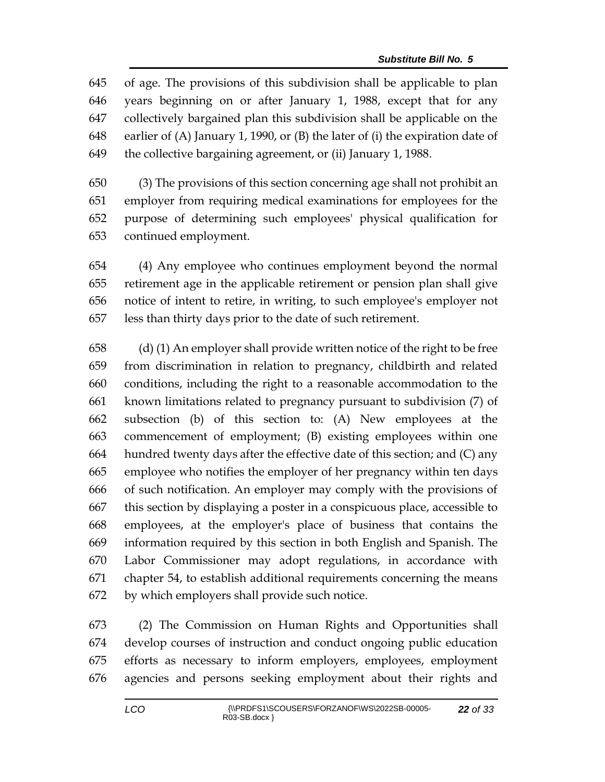of age. The provisions of this subdivision shall be applicable to plan years beginning on or after January 1, 1988, except that for any collectively bargained plan this subdivision shall be applicable on the earlier of (A) January 1, 1990, or (B) the later of (i) the expiration date of the collective bargaining agreement, or (ii) January 1, 1988.

 (3) The provisions of this section concerning age shall not prohibit an employer from requiring medical examinations for employees for the purpose of determining such employees' physical qualification for continued employment.

 (4) Any employee who continues employment beyond the normal retirement age in the applicable retirement or pension plan shall give notice of intent to retire, in writing, to such employee's employer not less than thirty days prior to the date of such retirement.

 (d) (1) An employer shall provide written notice of the right to be free from discrimination in relation to pregnancy, childbirth and related conditions, including the right to a reasonable accommodation to the known limitations related to pregnancy pursuant to subdivision (7) of subsection (b) of this section to: (A) New employees at the commencement of employment; (B) existing employees within one hundred twenty days after the effective date of this section; and (C) any employee who notifies the employer of her pregnancy within ten days of such notification. An employer may comply with the provisions of this section by displaying a poster in a conspicuous place, accessible to employees, at the employer's place of business that contains the information required by this section in both English and Spanish. The Labor Commissioner may adopt regulations, in accordance with chapter 54, to establish additional requirements concerning the means by which employers shall provide such notice.

 (2) The Commission on Human Rights and Opportunities shall develop courses of instruction and conduct ongoing public education efforts as necessary to inform employers, employees, employment agencies and persons seeking employment about their rights and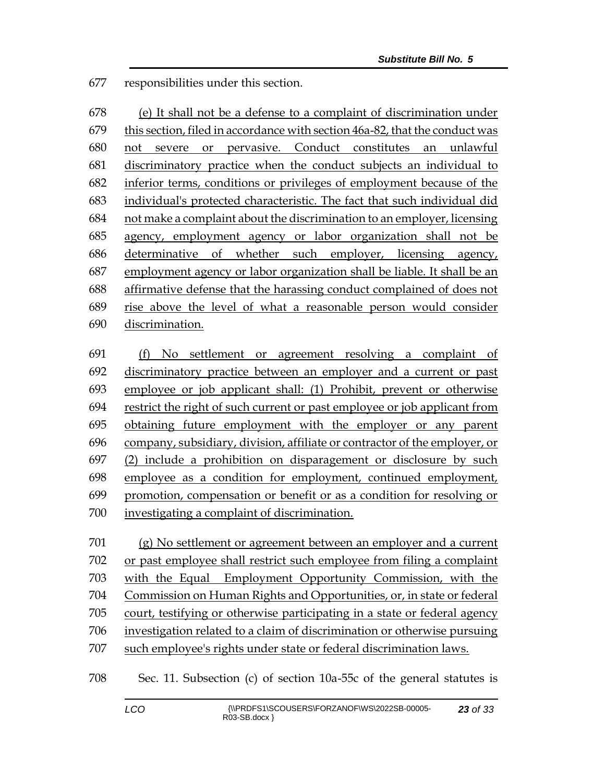responsibilities under this section.

 (e) It shall not be a defense to a complaint of discrimination under this section, filed in accordance with section 46a-82, that the conduct was not severe or pervasive. Conduct constitutes an unlawful discriminatory practice when the conduct subjects an individual to inferior terms, conditions or privileges of employment because of the individual's protected characteristic. The fact that such individual did not make a complaint about the discrimination to an employer, licensing agency, employment agency or labor organization shall not be determinative of whether such employer, licensing agency, employment agency or labor organization shall be liable. It shall be an affirmative defense that the harassing conduct complained of does not rise above the level of what a reasonable person would consider discrimination.

 (f) No settlement or agreement resolving a complaint of discriminatory practice between an employer and a current or past employee or job applicant shall: (1) Prohibit, prevent or otherwise restrict the right of such current or past employee or job applicant from obtaining future employment with the employer or any parent company, subsidiary, division, affiliate or contractor of the employer, or (2) include a prohibition on disparagement or disclosure by such employee as a condition for employment, continued employment, promotion, compensation or benefit or as a condition for resolving or investigating a complaint of discrimination.

 (g) No settlement or agreement between an employer and a current or past employee shall restrict such employee from filing a complaint with the Equal Employment Opportunity Commission, with the Commission on Human Rights and Opportunities, or, in state or federal court, testifying or otherwise participating in a state or federal agency investigation related to a claim of discrimination or otherwise pursuing such employee's rights under state or federal discrimination laws.

Sec. 11. Subsection (c) of section 10a-55c of the general statutes is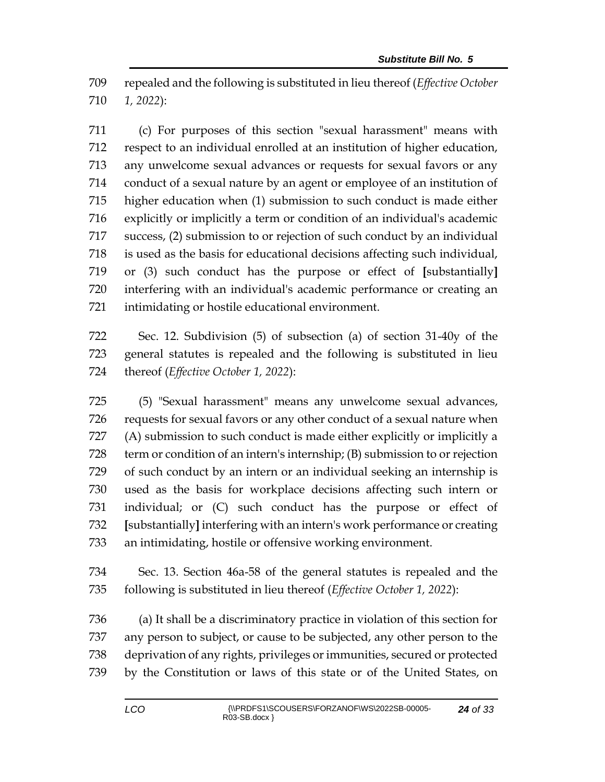repealed and the following is substituted in lieu thereof (*Effective October 1, 2022*):

 (c) For purposes of this section "sexual harassment" means with respect to an individual enrolled at an institution of higher education, any unwelcome sexual advances or requests for sexual favors or any conduct of a sexual nature by an agent or employee of an institution of higher education when (1) submission to such conduct is made either explicitly or implicitly a term or condition of an individual's academic success, (2) submission to or rejection of such conduct by an individual is used as the basis for educational decisions affecting such individual, or (3) such conduct has the purpose or effect of **[**substantially**]** interfering with an individual's academic performance or creating an intimidating or hostile educational environment.

 Sec. 12. Subdivision (5) of subsection (a) of section 31-40y of the general statutes is repealed and the following is substituted in lieu thereof (*Effective October 1, 2022*):

 (5) "Sexual harassment" means any unwelcome sexual advances, requests for sexual favors or any other conduct of a sexual nature when (A) submission to such conduct is made either explicitly or implicitly a term or condition of an intern's internship; (B) submission to or rejection of such conduct by an intern or an individual seeking an internship is used as the basis for workplace decisions affecting such intern or individual; or (C) such conduct has the purpose or effect of **[**substantially**]** interfering with an intern's work performance or creating an intimidating, hostile or offensive working environment.

 Sec. 13. Section 46a-58 of the general statutes is repealed and the following is substituted in lieu thereof (*Effective October 1, 2022*):

 (a) It shall be a discriminatory practice in violation of this section for any person to subject, or cause to be subjected, any other person to the deprivation of any rights, privileges or immunities, secured or protected by the Constitution or laws of this state or of the United States, on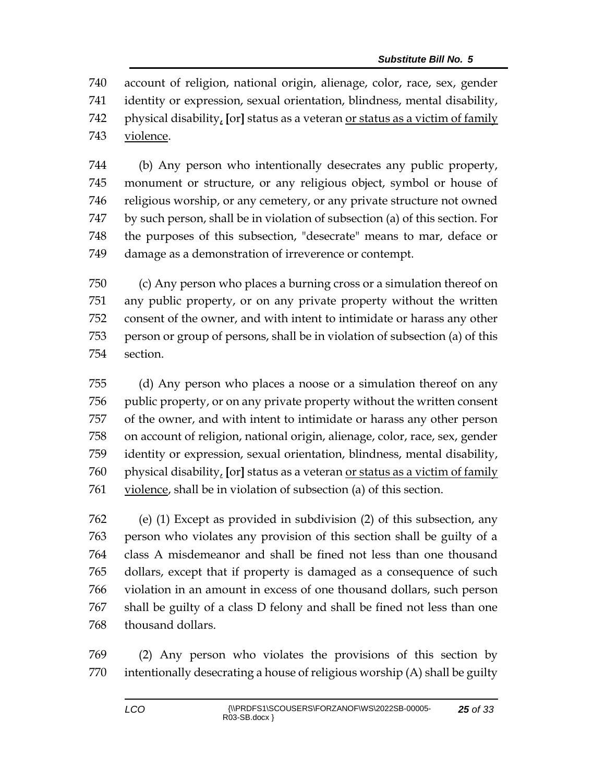account of religion, national origin, alienage, color, race, sex, gender identity or expression, sexual orientation, blindness, mental disability, physical disability, **[**or**]** status as a veteran or status as a victim of family violence.

 (b) Any person who intentionally desecrates any public property, monument or structure, or any religious object, symbol or house of religious worship, or any cemetery, or any private structure not owned by such person, shall be in violation of subsection (a) of this section. For the purposes of this subsection, "desecrate" means to mar, deface or damage as a demonstration of irreverence or contempt.

 (c) Any person who places a burning cross or a simulation thereof on any public property, or on any private property without the written consent of the owner, and with intent to intimidate or harass any other person or group of persons, shall be in violation of subsection (a) of this section.

 (d) Any person who places a noose or a simulation thereof on any public property, or on any private property without the written consent of the owner, and with intent to intimidate or harass any other person on account of religion, national origin, alienage, color, race, sex, gender identity or expression, sexual orientation, blindness, mental disability, physical disability, **[**or**]** status as a veteran or status as a victim of family violence, shall be in violation of subsection (a) of this section.

 (e) (1) Except as provided in subdivision (2) of this subsection, any person who violates any provision of this section shall be guilty of a class A misdemeanor and shall be fined not less than one thousand dollars, except that if property is damaged as a consequence of such violation in an amount in excess of one thousand dollars, such person shall be guilty of a class D felony and shall be fined not less than one thousand dollars.

 (2) Any person who violates the provisions of this section by intentionally desecrating a house of religious worship (A) shall be guilty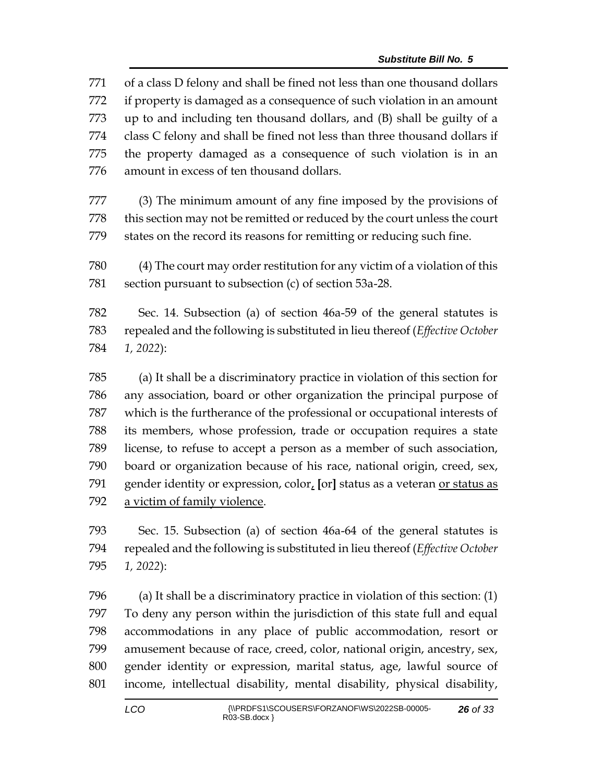of a class D felony and shall be fined not less than one thousand dollars if property is damaged as a consequence of such violation in an amount up to and including ten thousand dollars, and (B) shall be guilty of a class C felony and shall be fined not less than three thousand dollars if the property damaged as a consequence of such violation is in an amount in excess of ten thousand dollars. (3) The minimum amount of any fine imposed by the provisions of this section may not be remitted or reduced by the court unless the court states on the record its reasons for remitting or reducing such fine. (4) The court may order restitution for any victim of a violation of this section pursuant to subsection (c) of section 53a-28. Sec. 14. Subsection (a) of section 46a-59 of the general statutes is repealed and the following is substituted in lieu thereof (*Effective October 1, 2022*): (a) It shall be a discriminatory practice in violation of this section for any association, board or other organization the principal purpose of which is the furtherance of the professional or occupational interests of its members, whose profession, trade or occupation requires a state license, to refuse to accept a person as a member of such association, board or organization because of his race, national origin, creed, sex, gender identity or expression, color, **[**or**]** status as a veteran or status as

a victim of family violence.

 Sec. 15. Subsection (a) of section 46a-64 of the general statutes is repealed and the following is substituted in lieu thereof (*Effective October 1, 2022*):

 (a) It shall be a discriminatory practice in violation of this section: (1) To deny any person within the jurisdiction of this state full and equal accommodations in any place of public accommodation, resort or amusement because of race, creed, color, national origin, ancestry, sex, gender identity or expression, marital status, age, lawful source of income, intellectual disability, mental disability, physical disability,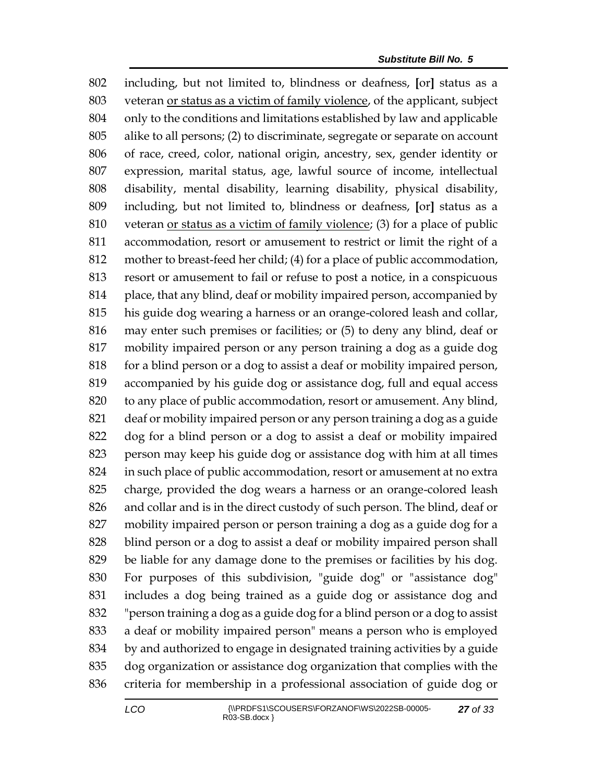including, but not limited to, blindness or deafness, **[**or**]** status as a veteran or status as a victim of family violence, of the applicant, subject only to the conditions and limitations established by law and applicable alike to all persons; (2) to discriminate, segregate or separate on account of race, creed, color, national origin, ancestry, sex, gender identity or expression, marital status, age, lawful source of income, intellectual disability, mental disability, learning disability, physical disability, including, but not limited to, blindness or deafness, **[**or**]** status as a veteran or status as a victim of family violence; (3) for a place of public accommodation, resort or amusement to restrict or limit the right of a mother to breast-feed her child; (4) for a place of public accommodation, resort or amusement to fail or refuse to post a notice, in a conspicuous place, that any blind, deaf or mobility impaired person, accompanied by his guide dog wearing a harness or an orange-colored leash and collar, may enter such premises or facilities; or (5) to deny any blind, deaf or mobility impaired person or any person training a dog as a guide dog for a blind person or a dog to assist a deaf or mobility impaired person, accompanied by his guide dog or assistance dog, full and equal access to any place of public accommodation, resort or amusement. Any blind, deaf or mobility impaired person or any person training a dog as a guide dog for a blind person or a dog to assist a deaf or mobility impaired person may keep his guide dog or assistance dog with him at all times in such place of public accommodation, resort or amusement at no extra charge, provided the dog wears a harness or an orange-colored leash and collar and is in the direct custody of such person. The blind, deaf or mobility impaired person or person training a dog as a guide dog for a blind person or a dog to assist a deaf or mobility impaired person shall be liable for any damage done to the premises or facilities by his dog. For purposes of this subdivision, "guide dog" or "assistance dog" includes a dog being trained as a guide dog or assistance dog and "person training a dog as a guide dog for a blind person or a dog to assist a deaf or mobility impaired person" means a person who is employed by and authorized to engage in designated training activities by a guide dog organization or assistance dog organization that complies with the criteria for membership in a professional association of guide dog or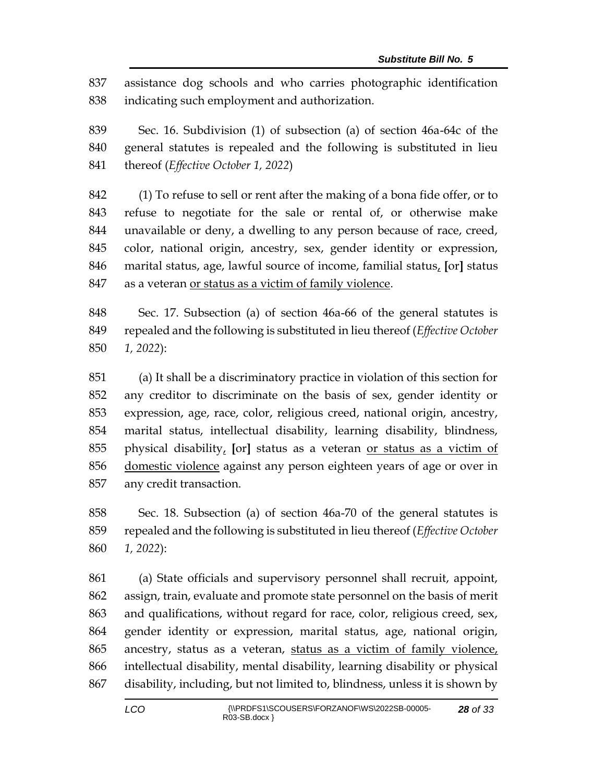assistance dog schools and who carries photographic identification indicating such employment and authorization.

 Sec. 16. Subdivision (1) of subsection (a) of section 46a-64c of the general statutes is repealed and the following is substituted in lieu thereof (*Effective October 1, 2022*)

 (1) To refuse to sell or rent after the making of a bona fide offer, or to refuse to negotiate for the sale or rental of, or otherwise make unavailable or deny, a dwelling to any person because of race, creed, color, national origin, ancestry, sex, gender identity or expression, marital status, age, lawful source of income, familial status, **[**or**]** status as a veteran or status as a victim of family violence.

 Sec. 17. Subsection (a) of section 46a-66 of the general statutes is repealed and the following is substituted in lieu thereof (*Effective October 1, 2022*):

 (a) It shall be a discriminatory practice in violation of this section for any creditor to discriminate on the basis of sex, gender identity or expression, age, race, color, religious creed, national origin, ancestry, marital status, intellectual disability, learning disability, blindness, physical disability, **[**or**]** status as a veteran or status as a victim of domestic violence against any person eighteen years of age or over in any credit transaction.

 Sec. 18. Subsection (a) of section 46a-70 of the general statutes is repealed and the following is substituted in lieu thereof (*Effective October 1, 2022*):

 (a) State officials and supervisory personnel shall recruit, appoint, assign, train, evaluate and promote state personnel on the basis of merit and qualifications, without regard for race, color, religious creed, sex, gender identity or expression, marital status, age, national origin, ancestry, status as a veteran, status as a victim of family violence, intellectual disability, mental disability, learning disability or physical disability, including, but not limited to, blindness, unless it is shown by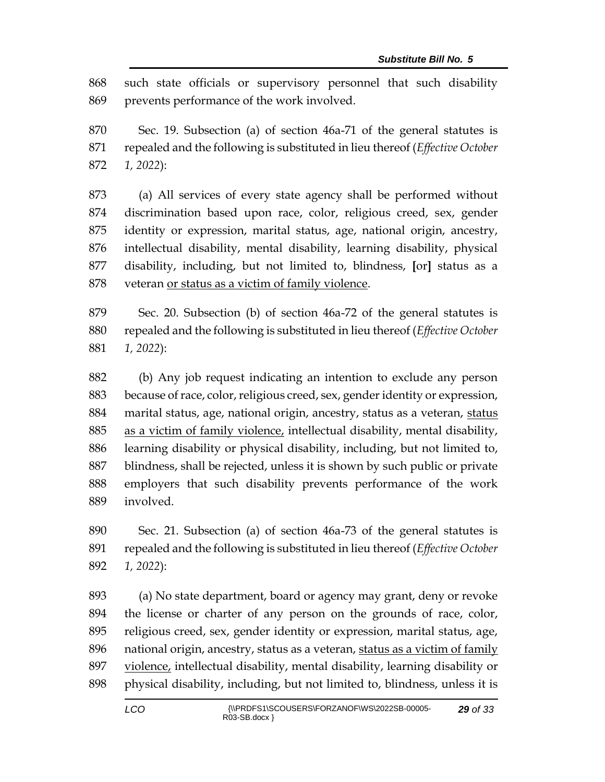such state officials or supervisory personnel that such disability prevents performance of the work involved.

 Sec. 19. Subsection (a) of section 46a-71 of the general statutes is repealed and the following is substituted in lieu thereof (*Effective October 1, 2022*):

 (a) All services of every state agency shall be performed without discrimination based upon race, color, religious creed, sex, gender identity or expression, marital status, age, national origin, ancestry, intellectual disability, mental disability, learning disability, physical disability, including, but not limited to, blindness, **[**or**]** status as a veteran or status as a victim of family violence.

 Sec. 20. Subsection (b) of section 46a-72 of the general statutes is repealed and the following is substituted in lieu thereof (*Effective October 1, 2022*):

 (b) Any job request indicating an intention to exclude any person because of race, color, religious creed, sex, gender identity or expression, marital status, age, national origin, ancestry, status as a veteran, status as a victim of family violence, intellectual disability, mental disability, learning disability or physical disability, including, but not limited to, blindness, shall be rejected, unless it is shown by such public or private employers that such disability prevents performance of the work involved.

 Sec. 21. Subsection (a) of section 46a-73 of the general statutes is repealed and the following is substituted in lieu thereof (*Effective October 1, 2022*):

 (a) No state department, board or agency may grant, deny or revoke the license or charter of any person on the grounds of race, color, religious creed, sex, gender identity or expression, marital status, age, national origin, ancestry, status as a veteran, status as a victim of family violence, intellectual disability, mental disability, learning disability or physical disability, including, but not limited to, blindness, unless it is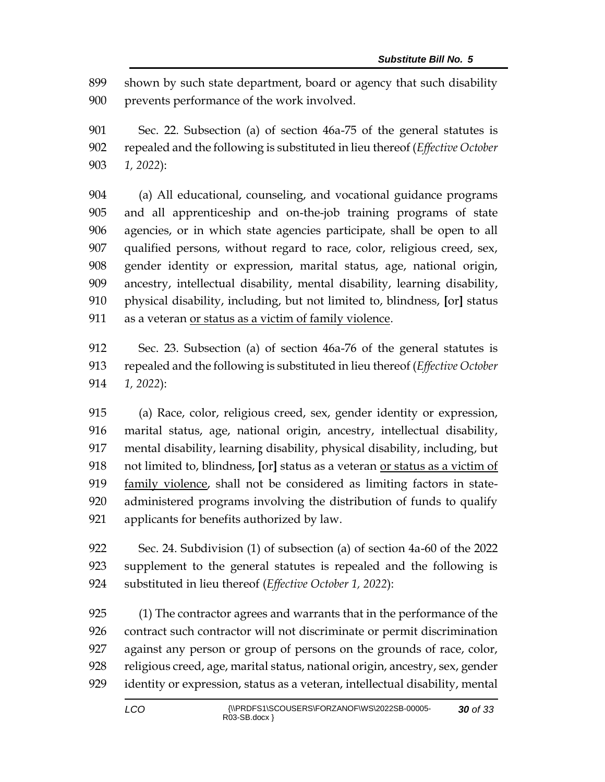shown by such state department, board or agency that such disability prevents performance of the work involved.

 Sec. 22. Subsection (a) of section 46a-75 of the general statutes is repealed and the following is substituted in lieu thereof (*Effective October 1, 2022*):

 (a) All educational, counseling, and vocational guidance programs and all apprenticeship and on-the-job training programs of state agencies, or in which state agencies participate, shall be open to all qualified persons, without regard to race, color, religious creed, sex, gender identity or expression, marital status, age, national origin, ancestry, intellectual disability, mental disability, learning disability, physical disability, including, but not limited to, blindness, **[**or**]** status 911 as a veteran <u>or status as a victim of family violence</u>.

 Sec. 23. Subsection (a) of section 46a-76 of the general statutes is repealed and the following is substituted in lieu thereof (*Effective October 1, 2022*):

 (a) Race, color, religious creed, sex, gender identity or expression, marital status, age, national origin, ancestry, intellectual disability, mental disability, learning disability, physical disability, including, but not limited to, blindness, **[**or**]** status as a veteran or status as a victim of family violence, shall not be considered as limiting factors in state- administered programs involving the distribution of funds to qualify applicants for benefits authorized by law.

 Sec. 24. Subdivision (1) of subsection (a) of section 4a-60 of the 2022 supplement to the general statutes is repealed and the following is substituted in lieu thereof (*Effective October 1, 2022*):

 (1) The contractor agrees and warrants that in the performance of the contract such contractor will not discriminate or permit discrimination against any person or group of persons on the grounds of race, color, religious creed, age, marital status, national origin, ancestry, sex, gender identity or expression, status as a veteran, intellectual disability, mental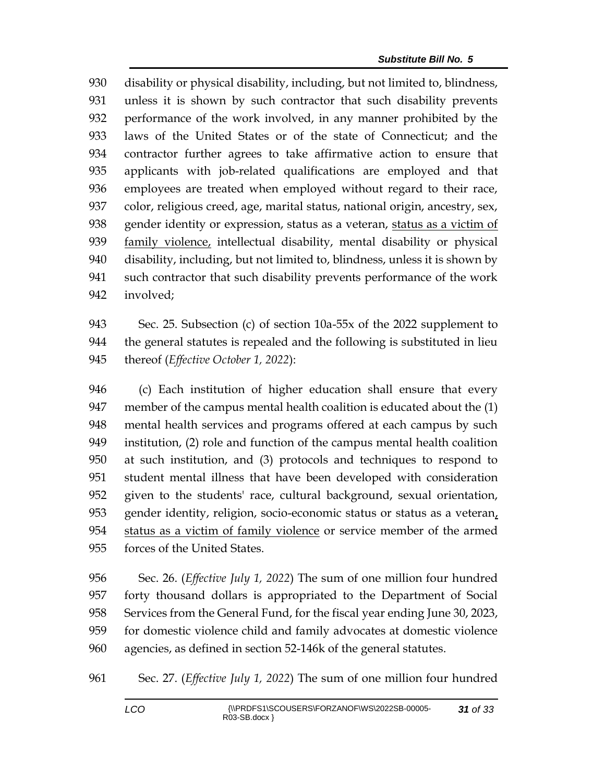disability or physical disability, including, but not limited to, blindness, unless it is shown by such contractor that such disability prevents performance of the work involved, in any manner prohibited by the laws of the United States or of the state of Connecticut; and the contractor further agrees to take affirmative action to ensure that applicants with job-related qualifications are employed and that employees are treated when employed without regard to their race, color, religious creed, age, marital status, national origin, ancestry, sex, gender identity or expression, status as a veteran, status as a victim of family violence, intellectual disability, mental disability or physical disability, including, but not limited to, blindness, unless it is shown by such contractor that such disability prevents performance of the work involved;

 Sec. 25. Subsection (c) of section 10a-55x of the 2022 supplement to the general statutes is repealed and the following is substituted in lieu thereof (*Effective October 1, 2022*):

 (c) Each institution of higher education shall ensure that every member of the campus mental health coalition is educated about the (1) mental health services and programs offered at each campus by such institution, (2) role and function of the campus mental health coalition at such institution, and (3) protocols and techniques to respond to student mental illness that have been developed with consideration given to the students' race, cultural background, sexual orientation, gender identity, religion, socio-economic status or status as a veteran, status as a victim of family violence or service member of the armed forces of the United States.

 Sec. 26. (*Effective July 1, 2022*) The sum of one million four hundred forty thousand dollars is appropriated to the Department of Social Services from the General Fund, for the fiscal year ending June 30, 2023, for domestic violence child and family advocates at domestic violence agencies, as defined in section 52-146k of the general statutes.

Sec. 27. (*Effective July 1, 2022*) The sum of one million four hundred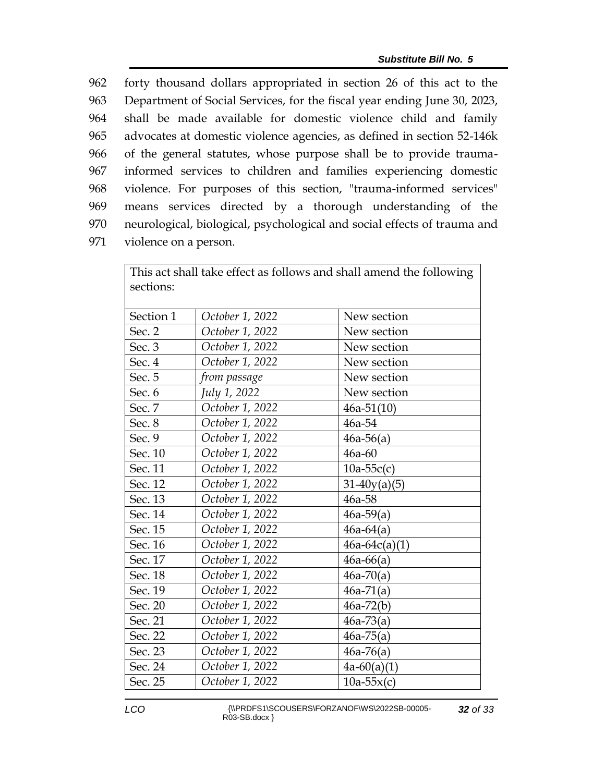forty thousand dollars appropriated in section 26 of this act to the Department of Social Services, for the fiscal year ending June 30, 2023, shall be made available for domestic violence child and family advocates at domestic violence agencies, as defined in section 52-146k of the general statutes, whose purpose shall be to provide trauma- informed services to children and families experiencing domestic violence. For purposes of this section, "trauma-informed services" means services directed by a thorough understanding of the neurological, biological, psychological and social effects of trauma and violence on a person.

| This act shall take effect as follows and shall amend the following |                 |                 |  |  |  |  |
|---------------------------------------------------------------------|-----------------|-----------------|--|--|--|--|
| sections:                                                           |                 |                 |  |  |  |  |
|                                                                     |                 |                 |  |  |  |  |
| Section 1                                                           | October 1, 2022 | New section     |  |  |  |  |
| Sec. 2                                                              | October 1, 2022 | New section     |  |  |  |  |
| Sec. 3                                                              | October 1, 2022 | New section     |  |  |  |  |
| Sec. 4                                                              | October 1, 2022 | New section     |  |  |  |  |
| Sec. 5                                                              | from passage    | New section     |  |  |  |  |
| Sec. 6                                                              | July 1, 2022    | New section     |  |  |  |  |
| Sec. 7                                                              | October 1, 2022 | $46a-51(10)$    |  |  |  |  |
| Sec. 8                                                              | October 1, 2022 | 46a-54          |  |  |  |  |
| Sec. 9                                                              | October 1, 2022 | $46a-56(a)$     |  |  |  |  |
| Sec. 10                                                             | October 1, 2022 | 46a-60          |  |  |  |  |
| Sec. 11                                                             | October 1, 2022 | $10a-55c(c)$    |  |  |  |  |
| Sec. 12                                                             | October 1, 2022 | $31-40y(a)(5)$  |  |  |  |  |
| Sec. 13                                                             | October 1, 2022 | 46a-58          |  |  |  |  |
| Sec. 14                                                             | October 1, 2022 | $46a-59(a)$     |  |  |  |  |
| Sec. 15                                                             | October 1, 2022 | $46a-64(a)$     |  |  |  |  |
| Sec. 16                                                             | October 1, 2022 | $46a-64c(a)(1)$ |  |  |  |  |
| Sec. 17                                                             | October 1, 2022 | $46a-66(a)$     |  |  |  |  |
| Sec. 18                                                             | October 1, 2022 | $46a-70(a)$     |  |  |  |  |
| Sec. 19                                                             | October 1, 2022 | $46a-71(a)$     |  |  |  |  |
| Sec. 20                                                             | October 1, 2022 | $46a-72(b)$     |  |  |  |  |
| Sec. 21                                                             | October 1, 2022 | $46a-73(a)$     |  |  |  |  |
| Sec. 22                                                             | October 1, 2022 | $46a-75(a)$     |  |  |  |  |
| Sec. 23                                                             | October 1, 2022 | $46a-76(a)$     |  |  |  |  |
| Sec. 24                                                             | October 1, 2022 | $4a-60(a)(1)$   |  |  |  |  |
| Sec. 25                                                             | October 1, 2022 | $10a-55x(c)$    |  |  |  |  |